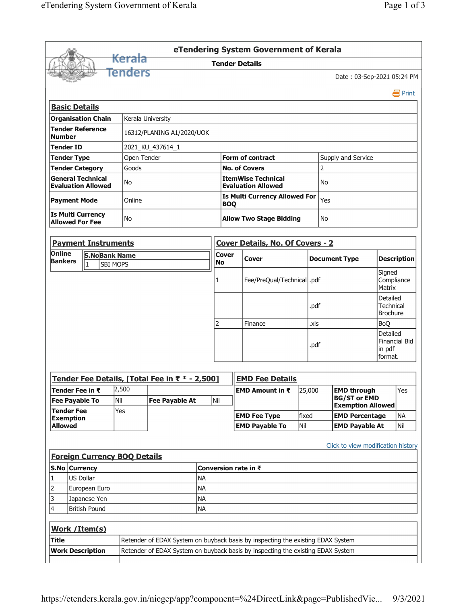|                                                          |               |                            |                                     |                                                |                                |                                                           |      | eTendering System Government of Kerala                                                                                                                             |                                |                      |                                                                       |                                                 |                    |
|----------------------------------------------------------|---------------|----------------------------|-------------------------------------|------------------------------------------------|--------------------------------|-----------------------------------------------------------|------|--------------------------------------------------------------------------------------------------------------------------------------------------------------------|--------------------------------|----------------------|-----------------------------------------------------------------------|-------------------------------------------------|--------------------|
|                                                          |               |                            | <del>Kerala</del>                   |                                                |                                | <b>Tender Details</b>                                     |      |                                                                                                                                                                    |                                |                      |                                                                       |                                                 |                    |
|                                                          |               |                            | Tenders                             |                                                |                                |                                                           |      |                                                                                                                                                                    |                                |                      | Date: 03-Sep-2021 05:24 PM                                            |                                                 |                    |
|                                                          |               |                            |                                     |                                                |                                |                                                           |      |                                                                                                                                                                    |                                |                      |                                                                       |                                                 | 昌 Print            |
| <b>Basic Details</b>                                     |               |                            |                                     |                                                |                                |                                                           |      |                                                                                                                                                                    |                                |                      |                                                                       |                                                 |                    |
| <b>Organisation Chain</b>                                |               |                            | Kerala University                   |                                                |                                |                                                           |      |                                                                                                                                                                    |                                |                      |                                                                       |                                                 |                    |
| <b>Tender Reference</b><br><b>Number</b>                 |               |                            |                                     | 16312/PLANING A1/2020/UOK                      |                                |                                                           |      |                                                                                                                                                                    |                                |                      |                                                                       |                                                 |                    |
| <b>Tender ID</b>                                         |               |                            |                                     | 2021_KU_437614_1                               |                                |                                                           |      |                                                                                                                                                                    |                                |                      |                                                                       |                                                 |                    |
| <b>Tender Type</b>                                       |               |                            | Open Tender                         |                                                |                                |                                                           |      | <b>Form of contract</b>                                                                                                                                            |                                |                      | Supply and Service                                                    |                                                 |                    |
| <b>Tender Category</b>                                   |               |                            | Goods                               |                                                |                                |                                                           |      | <b>No. of Covers</b>                                                                                                                                               |                                | 2                    |                                                                       |                                                 |                    |
| <b>General Technical</b><br><b>Evaluation Allowed</b>    |               |                            | No                                  |                                                |                                |                                                           |      | <b>ItemWise Technical</b><br><b>Evaluation Allowed</b>                                                                                                             |                                | No                   |                                                                       |                                                 |                    |
| <b>Payment Mode</b>                                      |               |                            | Online                              |                                                |                                | <b>Is Multi Currency Allowed For</b><br>Yes<br><b>BOQ</b> |      |                                                                                                                                                                    |                                |                      |                                                                       |                                                 |                    |
| <b>Is Multi Currency</b><br>No<br><b>Allowed For Fee</b> |               |                            |                                     |                                                | <b>Allow Two Stage Bidding</b> |                                                           | No   |                                                                                                                                                                    |                                |                      |                                                                       |                                                 |                    |
|                                                          |               | <b>Payment Instruments</b> |                                     |                                                |                                |                                                           |      | <b>Cover Details, No. Of Covers - 2</b>                                                                                                                            |                                |                      |                                                                       |                                                 |                    |
| Online                                                   |               | <b>S.NoBank Name</b>       |                                     |                                                |                                | <b>Cover</b>                                              |      |                                                                                                                                                                    |                                |                      |                                                                       |                                                 |                    |
| <b>Bankers</b>                                           | $\vert$ 1     |                            | SBI MOPS                            |                                                |                                | <b>No</b>                                                 |      | Cover                                                                                                                                                              |                                |                      | <b>Document Type</b>                                                  |                                                 | <b>Description</b> |
|                                                          |               |                            | 1                                   | Fee/PreQual/Technical  .pdf                    |                                |                                                           |      |                                                                                                                                                                    | Signed<br>Compliance<br>Matrix |                      |                                                                       |                                                 |                    |
|                                                          |               |                            |                                     |                                                |                                |                                                           |      |                                                                                                                                                                    |                                | .pdf                 |                                                                       | Detailed<br><b>Technical</b><br><b>Brochure</b> |                    |
|                                                          |               |                            |                                     |                                                |                                | 2                                                         |      | Finance                                                                                                                                                            |                                | .xls                 |                                                                       | <b>BoQ</b>                                      |                    |
|                                                          |               |                            |                                     |                                                |                                |                                                           | .pdf |                                                                                                                                                                    | Detailed<br>in pdf             | <b>Financial Bid</b> |                                                                       |                                                 |                    |
|                                                          |               |                            |                                     |                                                |                                |                                                           |      |                                                                                                                                                                    |                                |                      |                                                                       | format.                                         |                    |
|                                                          |               |                            |                                     | Tender Fee Details, [Total Fee in ₹ * - 2,500] |                                |                                                           |      | <b>EMD Fee Details</b>                                                                                                                                             |                                |                      |                                                                       |                                                 |                    |
| Tender Fee in ₹<br><b>Fee Payable To</b>                 |               |                            | 2,500<br>Nil                        | <b>Fee Payable At</b>                          |                                | Nil                                                       |      | EMD Amount in ₹                                                                                                                                                    | 25,000                         |                      | <b>EMD through</b><br><b>BG/ST or EMD</b><br><b>Exemption Allowed</b> |                                                 | Yes                |
| <b>Tender Fee</b>                                        |               |                            | Yes                                 |                                                |                                |                                                           |      | <b>EMD Fee Type</b>                                                                                                                                                | fixed                          |                      | <b>EMD Percentage</b>                                                 |                                                 | <b>NA</b>          |
| <b>Exemption</b><br><b>Allowed</b>                       |               |                            |                                     |                                                |                                |                                                           |      | <b>EMD Payable To</b>                                                                                                                                              | Nil                            |                      | <b>EMD Payable At</b>                                                 |                                                 | Nil                |
| S.No Currency                                            |               |                            | <b>Foreign Currency BOQ Details</b> |                                                |                                | Conversion rate in ₹                                      |      |                                                                                                                                                                    |                                |                      | Click to view modification history                                    |                                                 |                    |
| 1                                                        | US Dollar     |                            |                                     |                                                | <b>NA</b>                      |                                                           |      |                                                                                                                                                                    |                                |                      |                                                                       |                                                 |                    |
|                                                          | European Euro |                            |                                     | <b>NA</b>                                      |                                |                                                           |      |                                                                                                                                                                    |                                |                      |                                                                       |                                                 |                    |
|                                                          |               | Japanese Yen               |                                     |                                                | <b>NA</b>                      |                                                           |      |                                                                                                                                                                    |                                |                      |                                                                       |                                                 |                    |
|                                                          |               |                            |                                     |                                                |                                |                                                           |      |                                                                                                                                                                    |                                |                      |                                                                       |                                                 |                    |
|                                                          |               | British Pound              |                                     |                                                | <b>NA</b>                      |                                                           |      |                                                                                                                                                                    |                                |                      |                                                                       |                                                 |                    |
| 2<br>3<br>4                                              |               |                            |                                     |                                                |                                |                                                           |      |                                                                                                                                                                    |                                |                      |                                                                       |                                                 |                    |
| Work / Item(s)                                           |               |                            |                                     |                                                |                                |                                                           |      |                                                                                                                                                                    |                                |                      |                                                                       |                                                 |                    |
| <b>Title</b><br><b>Work Description</b>                  |               |                            |                                     |                                                |                                |                                                           |      | Retender of EDAX System on buyback basis by inspecting the existing EDAX System<br>Retender of EDAX System on buyback basis by inspecting the existing EDAX System |                                |                      |                                                                       |                                                 |                    |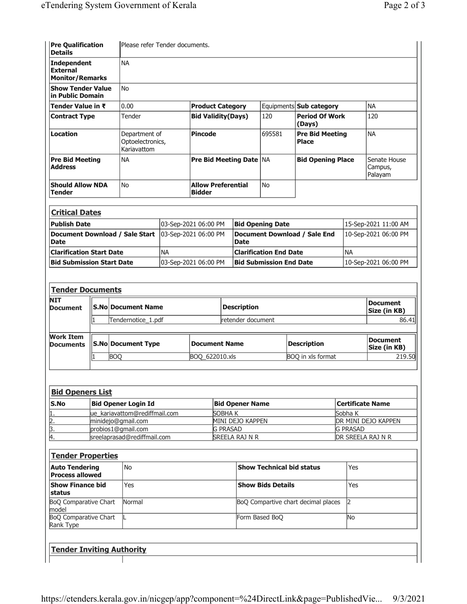| <b>Pre Qualification</b><br><b>Details</b>               | Please refer Tender documents.                   |                                      |        |                                        |                                    |
|----------------------------------------------------------|--------------------------------------------------|--------------------------------------|--------|----------------------------------------|------------------------------------|
| Independent<br><b>External</b><br><b>Monitor/Remarks</b> | <b>NA</b>                                        |                                      |        |                                        |                                    |
| <b>Show Tender Value</b><br>in Public Domain             | l No                                             |                                      |        |                                        |                                    |
| Tender Value in ₹                                        | 0.00                                             | <b>Product Category</b>              |        | Equipments Sub category                | <b>NA</b>                          |
| <b>Contract Type</b>                                     | Tender                                           | <b>Bid Validity (Days)</b>           | 120    | <b>Period Of Work</b><br>(Days)        | 120                                |
| <b>Location</b>                                          | Department of<br>Optoelectronics,<br>Kariavattom | Pincode                              | 695581 | <b>Pre Bid Meeting</b><br><b>Place</b> | <b>NA</b>                          |
| <b>Pre Bid Meeting</b><br><b>Address</b>                 | <b>NA</b>                                        | <b>Pre Bid Meeting Date NA</b>       |        | <b>Bid Opening Place</b>               | Senate House<br>Campus,<br>Palayam |
| <b>Should Allow NDA</b><br>Tender                        | l No                                             | <b>Allow Preferential</b><br> Bidder | No.    |                                        |                                    |
| <b>Critical Dates</b>                                    |                                                  |                                      |        |                                        |                                    |

| <b>Publish Date</b>                                           | 03-Sep-2021 06:00 PM | <b>Bid Opening Date</b>              | 15-Sep-2021 11:00 AM |
|---------------------------------------------------------------|----------------------|--------------------------------------|----------------------|
| Document Download / Sale Start   03-Sep-2021 06:00 PM<br>Date |                      | Document Download / Sale End<br>Date | 10-Sep-2021 06:00 PM |
| <b>Clarification Start Date</b>                               | NА                   | <b>Clarification End Date</b>        | l NA                 |
| <b>Bid Submission Start Date</b>                              | 03-Sep-2021 06:00 PM | <b>Bid Submission End Date</b>       | 10-Sep-2021 06:00 PM |

| <b>Tender Documents</b>              |                           |                           |                      |                    |                          |                          |
|--------------------------------------|---------------------------|---------------------------|----------------------|--------------------|--------------------------|--------------------------|
| <b>NIT</b><br><b>Document</b>        | <b>S.No Document Name</b> |                           |                      | <b>Description</b> | Document<br>Size (in KB) |                          |
|                                      |                           | Tendernotice 1.pdf        |                      | retender document  |                          | 86.41                    |
| <b>Work Item</b><br><b>Documents</b> |                           | <b>S.No Document Type</b> | <b>Document Name</b> |                    | <b>Description</b>       | Document<br>Size (in KB) |
|                                      |                           | BOQ                       | BOQ 622010.xls       |                    | BOO in xls format        | 219.50                   |

| <b>Bid Openers List</b> |                                |                        |                            |  |  |  |
|-------------------------|--------------------------------|------------------------|----------------------------|--|--|--|
| <b>S.No</b>             | Bid Opener Login Id            | <b>Bid Opener Name</b> | Certificate Name           |  |  |  |
| 11.                     | lue kariavattom@rediffmail.com | SOBHA K                | Sobha K                    |  |  |  |
| 12.                     | minidejo@gmail.com             | MINI DEJO KAPPEN       | <b>DR MINI DEJO KAPPEN</b> |  |  |  |
| β.                      | probios1@gmail.com             | <b>G PRASAD</b>        | <b>IG PRASAD</b>           |  |  |  |
| Ι4.                     | sreelaprasad@rediffmail.com    | SREELA RAJ N R         | <b>IDR SREELA RAJ N R</b>  |  |  |  |

| <b>Tender Properties</b>                        |               |                                     |     |  |  |  |
|-------------------------------------------------|---------------|-------------------------------------|-----|--|--|--|
| <b>Auto Tendering</b><br><b>Process allowed</b> | No.           | <b>Show Technical bid status</b>    | Yes |  |  |  |
| <b>Show Finance bid</b><br> status              | Yes           | <b>Show Bids Details</b>            | Yes |  |  |  |
| BoQ Comparative Chart<br>model                  | <b>Normal</b> | BoQ Compartive chart decimal places | 12  |  |  |  |
| BoQ Comparative Chart<br>Rank Type              |               | Form Based BoQ                      | lNo |  |  |  |
|                                                 |               |                                     |     |  |  |  |
| <b>Tender Inviting Authority</b>                |               |                                     |     |  |  |  |
|                                                 |               |                                     |     |  |  |  |